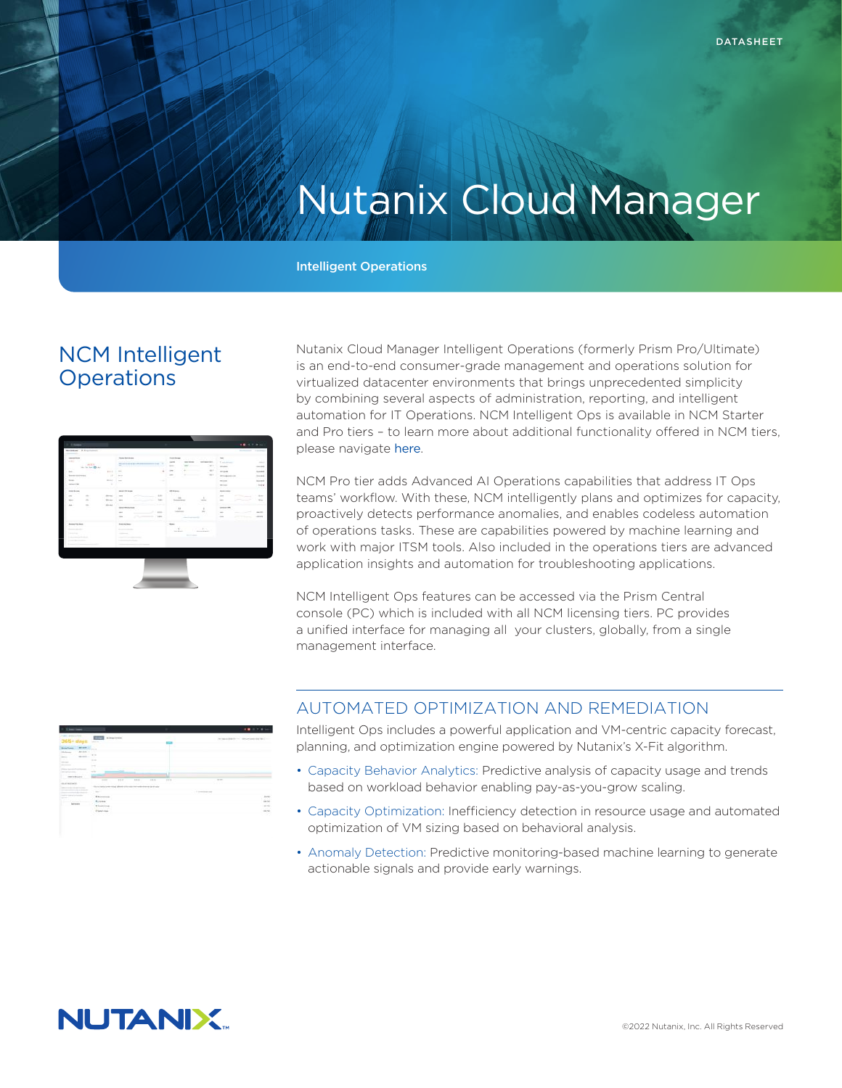# Nutanix Cloud Manager

#### Intelligent Operations

## NCM Intelligent **Operations**



Nutanix Cloud Manager Intelligent Operations (formerly Prism Pro/Ultimate) is an end-to-end consumer-grade management and operations solution for virtualized datacenter environments that brings unprecedented simplicity by combining several aspects of administration, reporting, and intelligent automation for IT Operations. NCM Intelligent Ops is available in NCM Starter and Pro tiers – to learn more about additional functionality offered in NCM tiers, please navigate [here](https://www.nutanix.com/products/cloud-platform/software-options#ncm).

NCM Pro tier adds Advanced AI Operations capabilities that address IT Ops teams' workflow. With these, NCM intelligently plans and optimizes for capacity, proactively detects performance anomalies, and enables codeless automation of operations tasks. These are capabilities powered by machine learning and work with major ITSM tools. Also included in the operations tiers are advanced application insights and automation for troubleshooting applications.

NCM Intelligent Ops features can be accessed via the Prism Central console (PC) which is included with all NCM licensing tiers. PC provides a unified interface for managing all your clusters, globally, from a single management interface.

| <b>MELBERT L.</b><br><b>Contract Contract</b><br>Annahei L.<br><b>International</b><br>œ<br>month of the<br>$\frac{1}{2} \left( \frac{1}{2} \right) \left( \frac{1}{2} \right) \left( \frac{1}{2} \right)$<br>œ<br>1.14<br>--<br>--<br>$\sim$<br><b><i>Colorador Colorador</i></b><br>-<br>×.<br>$\frac{1}{2} \left( \frac{1}{2} \right) \left( \frac{1}{2} \right) \left( \frac{1}{2} \right)$<br><b>STATISTICS</b><br>-<br>the contract of the first state of<br><b>Here Brown</b><br>m<br>---<br>$-0.0000$<br>$-$<br>1112<br><b>STATE</b><br>1.11<br>$\frac{1}{2} \left( \frac{1}{2} \right) \left( \frac{1}{2} \right) \left( \frac{1}{2} \right)$<br>m<br>œ<br>the air automation.<br>.<br>a b<br>basic and in class as lost in acts.<br>the exclusive contribution about this<br>------<br><b>CARD AND ARRANGEMENT</b><br><b>Constitute and</b><br><b>Service</b><br>----<br><b>Bibliothera</b><br>-<br>time the<br><b><i><u>Australian</u></i></b><br>Sink and Song<br><b>Sale School</b><br><b>Windows</b><br><b>Branch Avenue</b> | $365 + days$                | <b>County</b><br><b>A determined</b><br><b>Service</b> |  |  |
|--------------------------------------------------------------------------------------------------------------------------------------------------------------------------------------------------------------------------------------------------------------------------------------------------------------------------------------------------------------------------------------------------------------------------------------------------------------------------------------------------------------------------------------------------------------------------------------------------------------------------------------------------------------------------------------------------------------------------------------------------------------------------------------------------------------------------------------------------------------------------------------------------------------------------------------------------------------------------------------------------------------------------------------------|-----------------------------|--------------------------------------------------------|--|--|
| $\frac{164}{16}$<br>$\sim$<br><b>COLLE</b><br>$\sim$<br>$-0.614$<br>- 29                                                                                                                                                                                                                                                                                                                                                                                                                                                                                                                                                                                                                                                                                                                                                                                                                                                                                                                                                                   | <b>Montando Company Co.</b> |                                                        |  |  |
|                                                                                                                                                                                                                                                                                                                                                                                                                                                                                                                                                                                                                                                                                                                                                                                                                                                                                                                                                                                                                                            |                             |                                                        |  |  |
|                                                                                                                                                                                                                                                                                                                                                                                                                                                                                                                                                                                                                                                                                                                                                                                                                                                                                                                                                                                                                                            |                             |                                                        |  |  |
|                                                                                                                                                                                                                                                                                                                                                                                                                                                                                                                                                                                                                                                                                                                                                                                                                                                                                                                                                                                                                                            |                             |                                                        |  |  |
|                                                                                                                                                                                                                                                                                                                                                                                                                                                                                                                                                                                                                                                                                                                                                                                                                                                                                                                                                                                                                                            |                             |                                                        |  |  |
|                                                                                                                                                                                                                                                                                                                                                                                                                                                                                                                                                                                                                                                                                                                                                                                                                                                                                                                                                                                                                                            |                             |                                                        |  |  |
|                                                                                                                                                                                                                                                                                                                                                                                                                                                                                                                                                                                                                                                                                                                                                                                                                                                                                                                                                                                                                                            |                             |                                                        |  |  |
|                                                                                                                                                                                                                                                                                                                                                                                                                                                                                                                                                                                                                                                                                                                                                                                                                                                                                                                                                                                                                                            |                             |                                                        |  |  |
|                                                                                                                                                                                                                                                                                                                                                                                                                                                                                                                                                                                                                                                                                                                                                                                                                                                                                                                                                                                                                                            |                             |                                                        |  |  |
|                                                                                                                                                                                                                                                                                                                                                                                                                                                                                                                                                                                                                                                                                                                                                                                                                                                                                                                                                                                                                                            |                             |                                                        |  |  |
|                                                                                                                                                                                                                                                                                                                                                                                                                                                                                                                                                                                                                                                                                                                                                                                                                                                                                                                                                                                                                                            |                             |                                                        |  |  |
|                                                                                                                                                                                                                                                                                                                                                                                                                                                                                                                                                                                                                                                                                                                                                                                                                                                                                                                                                                                                                                            |                             |                                                        |  |  |
|                                                                                                                                                                                                                                                                                                                                                                                                                                                                                                                                                                                                                                                                                                                                                                                                                                                                                                                                                                                                                                            |                             |                                                        |  |  |
|                                                                                                                                                                                                                                                                                                                                                                                                                                                                                                                                                                                                                                                                                                                                                                                                                                                                                                                                                                                                                                            |                             |                                                        |  |  |
|                                                                                                                                                                                                                                                                                                                                                                                                                                                                                                                                                                                                                                                                                                                                                                                                                                                                                                                                                                                                                                            |                             |                                                        |  |  |
|                                                                                                                                                                                                                                                                                                                                                                                                                                                                                                                                                                                                                                                                                                                                                                                                                                                                                                                                                                                                                                            |                             |                                                        |  |  |
|                                                                                                                                                                                                                                                                                                                                                                                                                                                                                                                                                                                                                                                                                                                                                                                                                                                                                                                                                                                                                                            |                             |                                                        |  |  |

#### AUTOMATED OPTIMIZATION AND REMEDIATION

Intelligent Ops includes a powerful application and VM-centric capacity forecast, planning, and optimization engine powered by Nutanix's X-Fit algorithm.

- Capacity Behavior Analytics: Predictive analysis of capacity usage and trends based on workload behavior enabling pay-as-you-grow scaling.
- Capacity Optimization: Inefficiency detection in resource usage and automated optimization of VM sizing based on behavioral analysis.
- Anomaly Detection: Predictive monitoring-based machine learning to generate actionable signals and provide early warnings.